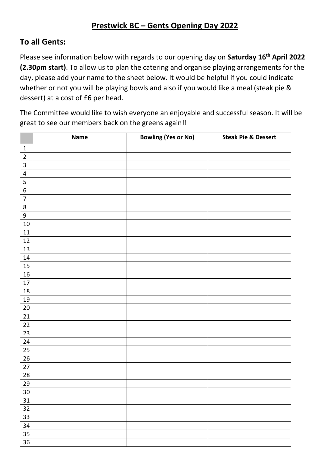## **To all Gents:**

Please see information below with regards to our opening day on **Saturday 16th April 2022 (2.30pm start)**. To allow us to plan the catering and organise playing arrangements for the day, please add your name to the sheet below. It would be helpful if you could indicate whether or not you will be playing bowls and also if you would like a meal (steak pie & dessert) at a cost of £6 per head.

The Committee would like to wish everyone an enjoyable and successful season. It will be great to see our members back on the greens again!!

|                  | Name | <b>Bowling (Yes or No)</b> | <b>Steak Pie &amp; Dessert</b> |
|------------------|------|----------------------------|--------------------------------|
| $\mathbf{1}$     |      |                            |                                |
| $\overline{2}$   |      |                            |                                |
| 3                |      |                            |                                |
| $\overline{4}$   |      |                            |                                |
| 5                |      |                            |                                |
| $\overline{6}$   |      |                            |                                |
| $\boldsymbol{7}$ |      |                            |                                |
| $\bf 8$          |      |                            |                                |
| $\boldsymbol{9}$ |      |                            |                                |
| $10\,$           |      |                            |                                |
| 11               |      |                            |                                |
| $12\,$           |      |                            |                                |
| 13               |      |                            |                                |
| 14               |      |                            |                                |
| 15               |      |                            |                                |
| 16               |      |                            |                                |
| $17\,$           |      |                            |                                |
| 18               |      |                            |                                |
| 19               |      |                            |                                |
| $20\,$           |      |                            |                                |
| 21               |      |                            |                                |
| $\overline{22}$  |      |                            |                                |
| 23               |      |                            |                                |
| 24               |      |                            |                                |
| 25               |      |                            |                                |
| $\overline{26}$  |      |                            |                                |
| $\overline{27}$  |      |                            |                                |
| 28               |      |                            |                                |
| 29               |      |                            |                                |
| 30               |      |                            |                                |
| 31               |      |                            |                                |
| 32               |      |                            |                                |
| 33               |      |                            |                                |
| 34               |      |                            |                                |
| 35               |      |                            |                                |
| 36               |      |                            |                                |